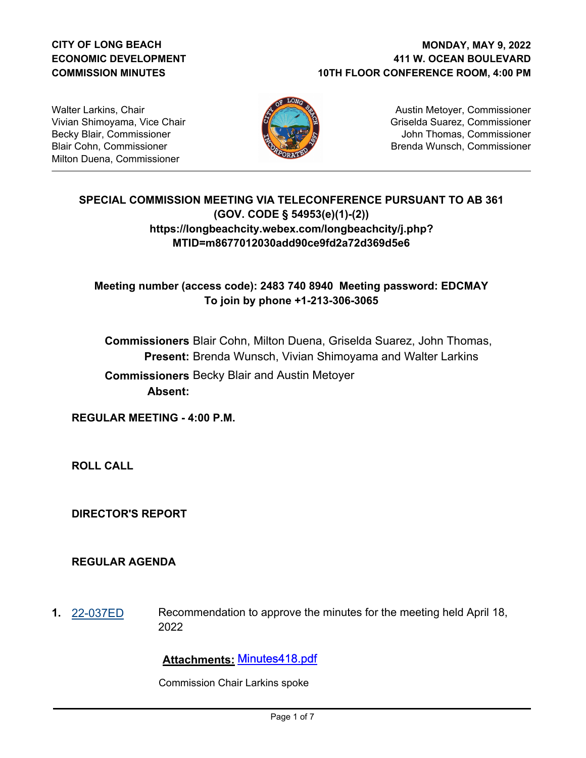# **CITY OF LONG BEACH ECONOMIC DEVELOPMENT COMMISSION MINUTES**

## **411 W. OCEAN BOULEVARD 10TH FLOOR CONFERENCE ROOM, 4:00 PM MONDAY, MAY 9, 2022**

Walter Larkins, Chair Vivian Shimoyama, Vice Chair Becky Blair, Commissioner Blair Cohn, Commissioner Milton Duena, Commissioner



Austin Metoyer, Commissioner Griselda Suarez, Commissioner John Thomas, Commissioner Brenda Wunsch, Commissioner

# **SPECIAL COMMISSION MEETING VIA TELECONFERENCE PURSUANT TO AB 361 (GOV. CODE § 54953(e)(1)-(2)) https://longbeachcity.webex.com/longbeachcity/j.php? MTID=m8677012030add90ce9fd2a72d369d5e6**

**Meeting number (access code): 2483 740 8940 Meeting password: EDCMAY To join by phone +1-213-306-3065**

**Commissioners** Blair Cohn, Milton Duena, Griselda Suarez, John Thomas, **Present:** Brenda Wunsch, Vivian Shimoyama and Walter Larkins  **Commissioners** Becky Blair and Austin Metoyer **Absent:**

**REGULAR MEETING - 4:00 P.M.**

**ROLL CALL**

**DIRECTOR'S REPORT**

#### **REGULAR AGENDA**

**1.** [22-037ED](http://longbeach.legistar.com/gateway.aspx?M=L&ID=239459) Recommendation to approve the minutes for the meeting held April 18, 2022

# **Attachments:** Minutes418.pdf

Commission Chair Larkins spoke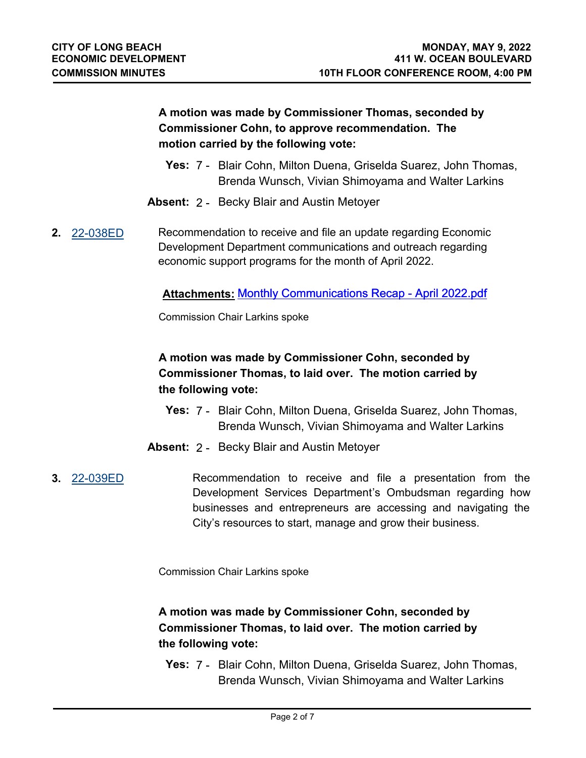**A motion was made by Commissioner Thomas, seconded by Commissioner Cohn, to approve recommendation. The motion carried by the following vote:**

- **Yes:** 7 Blair Cohn, Milton Duena, Griselda Suarez, John Thomas, Brenda Wunsch, Vivian Shimoyama and Walter Larkins
- **Absent:** 2 Becky Blair and Austin Metoyer
- **2.** [22-038ED](http://longbeach.legistar.com/gateway.aspx?M=L&ID=239460) Recommendation to receive and file an update regarding Economic Development Department communications and outreach regarding economic support programs for the month of April 2022.

# **Attachments:** Monthly Communications Recap - April 2022.pdf

Commission Chair Larkins spoke

**A motion was made by Commissioner Cohn, seconded by Commissioner Thomas, to laid over. The motion carried by the following vote:**

- **Yes:** 7 Blair Cohn, Milton Duena, Griselda Suarez, John Thomas, Brenda Wunsch, Vivian Shimoyama and Walter Larkins
- **Absent:** 2 Becky Blair and Austin Metoyer

**3.** [22-039ED](http://longbeach.legistar.com/gateway.aspx?M=L&ID=239462) Recommendation to receive and file a presentation from the Development Services Department's Ombudsman regarding how businesses and entrepreneurs are accessing and navigating the City's resources to start, manage and grow their business.

Commission Chair Larkins spoke

# **A motion was made by Commissioner Cohn, seconded by Commissioner Thomas, to laid over. The motion carried by the following vote:**

**Yes:** 7 - Blair Cohn, Milton Duena, Griselda Suarez, John Thomas, Brenda Wunsch, Vivian Shimoyama and Walter Larkins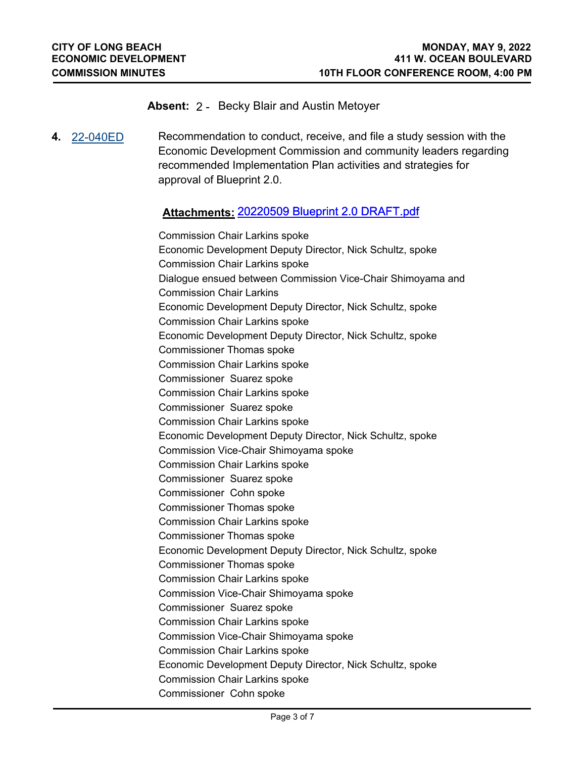### **Absent:** 2 - Becky Blair and Austin Metoyer

**4.** [22-040ED](http://longbeach.legistar.com/gateway.aspx?M=L&ID=239464) Recommendation to conduct, receive, and file a study session with the Economic Development Commission and community leaders regarding recommended Implementation Plan activities and strategies for approval of Blueprint 2.0.

# **Attachments:** 20220509 Blueprint 2.0 DRAFT.pdf

Commission Chair Larkins spoke Economic Development Deputy Director, Nick Schultz, spoke Commission Chair Larkins spoke Dialogue ensued between Commission Vice-Chair Shimoyama and Commission Chair Larkins Economic Development Deputy Director, Nick Schultz, spoke Commission Chair Larkins spoke Economic Development Deputy Director, Nick Schultz, spoke Commissioner Thomas spoke Commission Chair Larkins spoke Commissioner Suarez spoke Commission Chair Larkins spoke Commissioner Suarez spoke Commission Chair Larkins spoke Economic Development Deputy Director, Nick Schultz, spoke Commission Vice-Chair Shimoyama spoke Commission Chair Larkins spoke Commissioner Suarez spoke Commissioner Cohn spoke Commissioner Thomas spoke Commission Chair Larkins spoke Commissioner Thomas spoke Economic Development Deputy Director, Nick Schultz, spoke Commissioner Thomas spoke Commission Chair Larkins spoke Commission Vice-Chair Shimoyama spoke Commissioner Suarez spoke Commission Chair Larkins spoke Commission Vice-Chair Shimoyama spoke Commission Chair Larkins spoke Economic Development Deputy Director, Nick Schultz, spoke Commission Chair Larkins spoke Commissioner Cohn spoke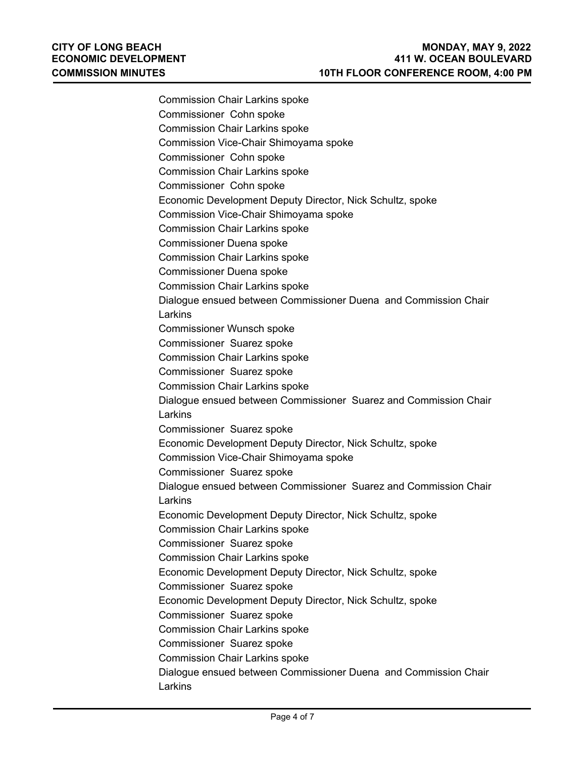| <b>Commission Chair Larkins spoke</b>                            |  |
|------------------------------------------------------------------|--|
| Commissioner Cohn spoke                                          |  |
| <b>Commission Chair Larkins spoke</b>                            |  |
| Commission Vice-Chair Shimoyama spoke                            |  |
| Commissioner Cohn spoke                                          |  |
| <b>Commission Chair Larkins spoke</b>                            |  |
| Commissioner Cohn spoke                                          |  |
| Economic Development Deputy Director, Nick Schultz, spoke        |  |
| Commission Vice-Chair Shimoyama spoke                            |  |
| <b>Commission Chair Larkins spoke</b>                            |  |
| <b>Commissioner Duena spoke</b>                                  |  |
| <b>Commission Chair Larkins spoke</b>                            |  |
| Commissioner Duena spoke                                         |  |
| <b>Commission Chair Larkins spoke</b>                            |  |
| Dialogue ensued between Commissioner Duena and Commission Chair  |  |
| Larkins                                                          |  |
| <b>Commissioner Wunsch spoke</b>                                 |  |
| Commissioner Suarez spoke                                        |  |
| <b>Commission Chair Larkins spoke</b>                            |  |
| Commissioner Suarez spoke                                        |  |
| <b>Commission Chair Larkins spoke</b>                            |  |
| Dialogue ensued between Commissioner Suarez and Commission Chair |  |
| Larkins                                                          |  |
| Commissioner Suarez spoke                                        |  |
| Economic Development Deputy Director, Nick Schultz, spoke        |  |
| Commission Vice-Chair Shimoyama spoke                            |  |
| Commissioner Suarez spoke                                        |  |
| Dialogue ensued between Commissioner Suarez and Commission Chair |  |
| Larkins                                                          |  |
| Economic Development Deputy Director, Nick Schultz, spoke        |  |
| <b>Commission Chair Larkins spoke</b>                            |  |
| Commissioner Suarez spoke                                        |  |
| <b>Commission Chair Larkins spoke</b>                            |  |
| Economic Development Deputy Director, Nick Schultz, spoke        |  |
| Commissioner Suarez spoke                                        |  |
| Economic Development Deputy Director, Nick Schultz, spoke        |  |
| Commissioner Suarez spoke                                        |  |
| <b>Commission Chair Larkins spoke</b>                            |  |
| Commissioner Suarez spoke                                        |  |
| <b>Commission Chair Larkins spoke</b>                            |  |
| Dialogue ensued between Commissioner Duena and Commission Chair  |  |
| Larkins                                                          |  |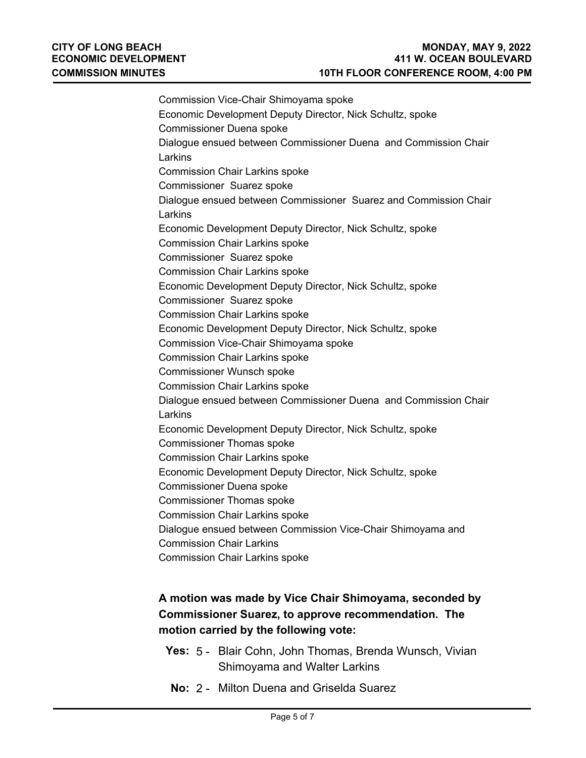Commission Vice-Chair Shimoyama spoke Economic Development Deputy Director, Nick Schultz, spoke Commissioner Duena spoke Dialogue ensued between Commissioner Duena and Commission Chair Larkins Commission Chair Larkins spoke Commissioner Suarez spoke Dialogue ensued between Commissioner Suarez and Commission Chair Larkins Economic Development Deputy Director, Nick Schultz, spoke Commission Chair Larkins spoke Commissioner Suarez spoke Commission Chair Larkins spoke Economic Development Deputy Director, Nick Schultz, spoke Commissioner Suarez spoke Commission Chair Larkins spoke Economic Development Deputy Director, Nick Schultz, spoke Commission Vice-Chair Shimoyama spoke Commission Chair Larkins spoke Commissioner Wunsch spoke Commission Chair Larkins spoke Dialogue ensued between Commissioner Duena and Commission Chair Larkins Economic Development Deputy Director, Nick Schultz, spoke Commissioner Thomas spoke Commission Chair Larkins spoke Economic Development Deputy Director, Nick Schultz, spoke Commissioner Duena spoke Commissioner Thomas spoke Commission Chair Larkins spoke Dialogue ensued between Commission Vice-Chair Shimoyama and Commission Chair Larkins Commission Chair Larkins spoke

# **A motion was made by Vice Chair Shimoyama, seconded by Commissioner Suarez, to approve recommendation. The motion carried by the following vote:**

- **Yes:** 5 Blair Cohn, John Thomas, Brenda Wunsch, Vivian Shimoyama and Walter Larkins
- **No:** 2 Milton Duena and Griselda Suarez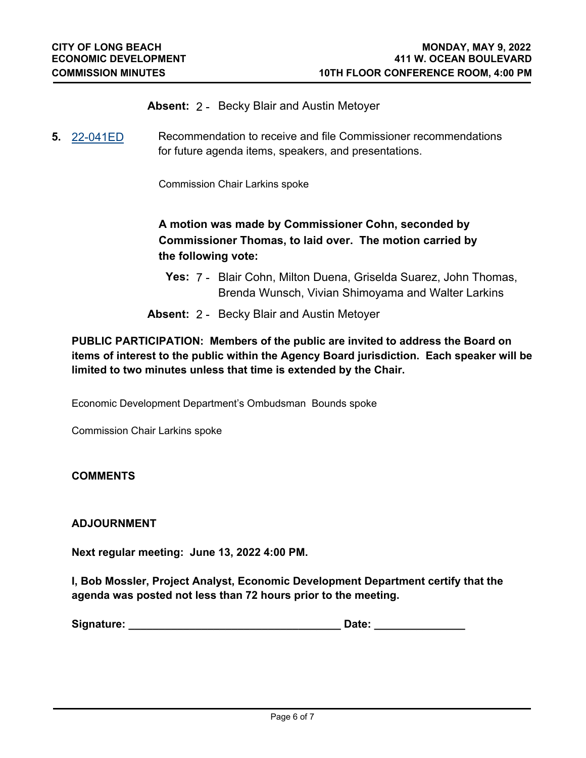- **Absent:** 2 Becky Blair and Austin Metoyer
- **5.** [22-041ED](http://longbeach.legistar.com/gateway.aspx?M=L&ID=239465) Recommendation to receive and file Commissioner recommendations for future agenda items, speakers, and presentations.

Commission Chair Larkins spoke

# **A motion was made by Commissioner Cohn, seconded by Commissioner Thomas, to laid over. The motion carried by the following vote:**

- **Yes:** 7 Blair Cohn, Milton Duena, Griselda Suarez, John Thomas, Brenda Wunsch, Vivian Shimoyama and Walter Larkins
- **Absent:** 2 Becky Blair and Austin Metoyer

# **PUBLIC PARTICIPATION: Members of the public are invited to address the Board on items of interest to the public within the Agency Board jurisdiction. Each speaker will be limited to two minutes unless that time is extended by the Chair.**

Economic Development Department's Ombudsman Bounds spoke

Commission Chair Larkins spoke

#### **COMMENTS**

#### **ADJOURNMENT**

**Next regular meeting: June 13, 2022 4:00 PM.**

**I, Bob Mossler, Project Analyst, Economic Development Department certify that the agenda was posted not less than 72 hours prior to the meeting.** 

| Signature: | Date: |  |
|------------|-------|--|
|            |       |  |